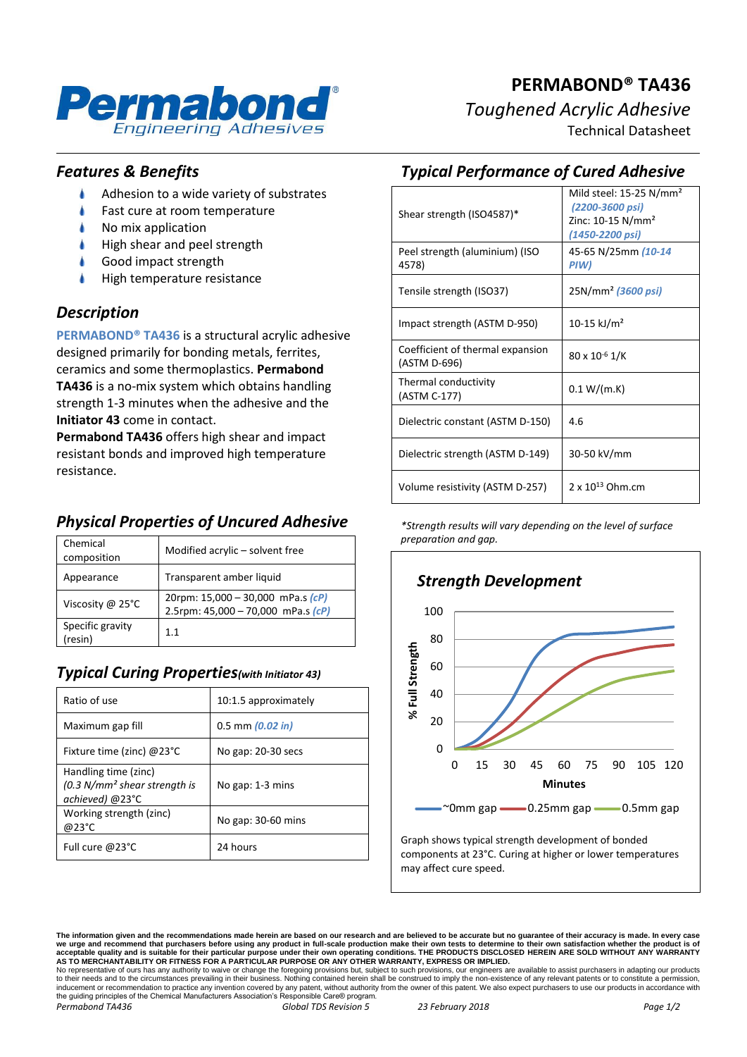

#### *Features & Benefits*

- Adhesion to a wide variety of substrates
- Fast cure at room temperature
- No mix application
- À High shear and peel strength
- Good impact strength
- High temperature resistance

#### *Description*

**PERMABOND® TA436** is a structural acrylic adhesive designed primarily for bonding metals, ferrites, ceramics and some thermoplastics. **Permabond TA436** is a no-mix system which obtains handling strength 1-3 minutes when the adhesive and the **Initiator 43** come in contact.

**Permabond TA436** offers high shear and impact resistant bonds and improved high temperature resistance.

## *Physical Properties of Uncured Adhesive*

| Chemical<br>composition     | Modified acrylic – solvent free                                             |
|-----------------------------|-----------------------------------------------------------------------------|
| Appearance                  | Transparent amber liquid                                                    |
| Viscosity @ 25°C            | 20rpm: 15,000 - 30,000 mPa.s (cP)<br>2.5rpm: $45,000 - 70,000$ mPa.s $(cP)$ |
| Specific gravity<br>(resin) | 1.1                                                                         |

### *Typical Curing Properties(with Initiator 43)*

| Ratio of use                                                              | 10:1.5 approximately |
|---------------------------------------------------------------------------|----------------------|
| Maximum gap fill                                                          | $0.5$ mm $(0.02$ in) |
| Fixture time (zinc) $@23°C$                                               | No gap: 20-30 secs   |
| Handling time (zinc)<br>$(0.3 N/mm2 shear strength is$<br>achieved) @23°C | No gap: 1-3 mins     |
| Working strength (zinc)<br>@23°C                                          | No gap: $30-60$ mins |
| Full cure @23°C                                                           | 24 hours             |

# *Typical Performance of Cured Adhesive*

| Shear strength (ISO4587)*                        | Mild steel: $15-25$ N/mm <sup>2</sup><br>(2200-3600 psi)<br>Zinc: $10-15$ N/mm <sup>2</sup><br>(1450-2200 psi) |
|--------------------------------------------------|----------------------------------------------------------------------------------------------------------------|
| Peel strength (aluminium) (ISO<br>4578)          | 45-65 N/25mm (10-14<br>PIW)                                                                                    |
| Tensile strength (ISO37)                         | 25N/mm <sup>2</sup> (3600 psi)                                                                                 |
| Impact strength (ASTM D-950)                     | 10-15 kJ/m <sup>2</sup>                                                                                        |
| Coefficient of thermal expansion<br>(ASTM D-696) | $80 \times 10^{-6}$ 1/K                                                                                        |
| Thermal conductivity<br>(ASTM C-177)             | 0.1 W/(m.K)                                                                                                    |
| Dielectric constant (ASTM D-150)                 | 4.6                                                                                                            |
| Dielectric strength (ASTM D-149)                 | 30-50 kV/mm                                                                                                    |
| Volume resistivity (ASTM D-257)                  | 2 x 10 <sup>13</sup> Ohm.cm                                                                                    |

*\*Strength results will vary depending on the level of surface preparation and gap.*



**The information given and the recommendations made herein are based on our research and are believed to be accurate but no guarantee of their accuracy is made. In every case**  we urge and recommend that purchasers before using any product in full-scale production make their own tests to determine to their own satisfaction whether the product is of<br>acceptable quality and is suitable for their par

No representative of ours has any authority to waive or change the foregoing provisions but, subject to such provisions, our engineers are available to assist purchasers in adapting our products<br>to their needs and to the c *Permabond TA436 Global TDS Revision 5 23 February 2018 Page 1/2*